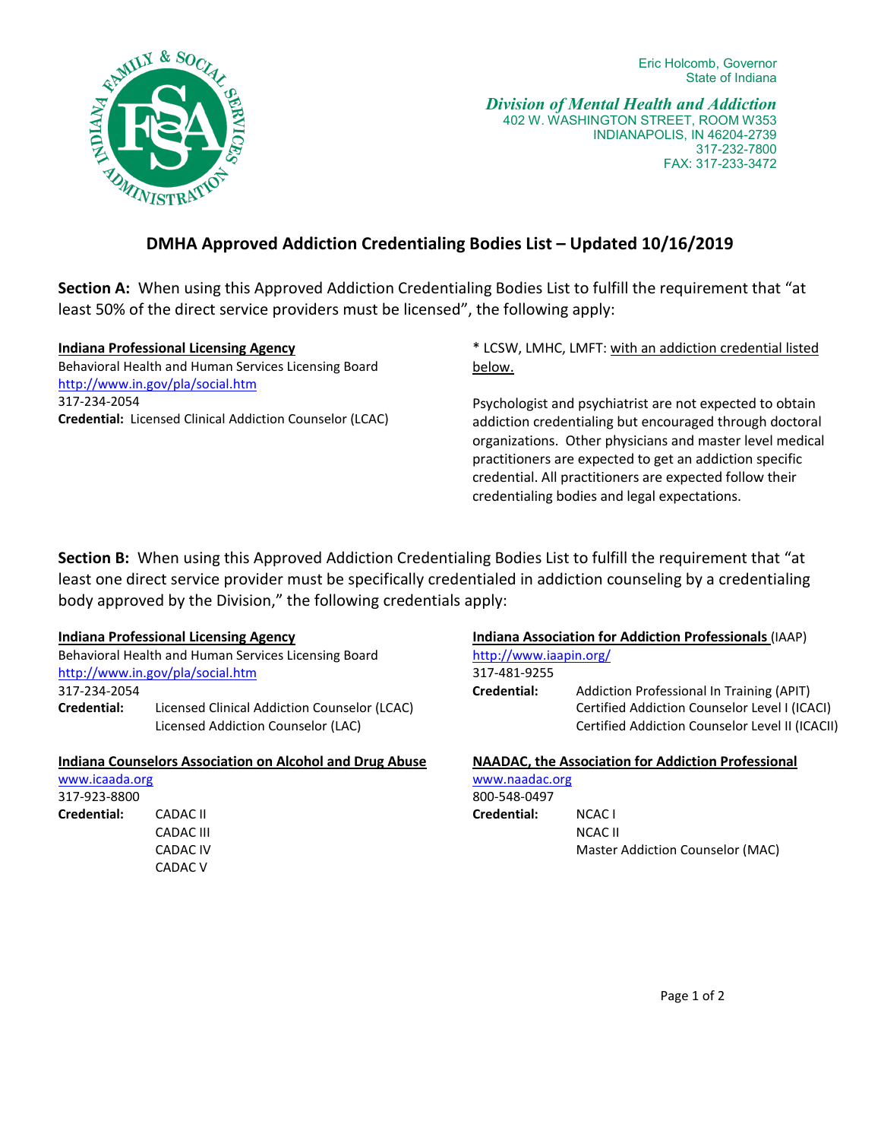

*Division of Mental Health and Addiction* 402 W. WASHINGTON STREET, ROOM W353 INDIANAPOLIS, IN 46204-2739 317-232-7800 FAX: 317-233-3472

# **DMHA Approved Addiction Credentialing Bodies List – Updated 10/16/2019**

**Section A:** When using this Approved Addiction Credentialing Bodies List to fulfill the requirement that "at least 50% of the direct service providers must be licensed", the following apply:

## **Indiana Professional Licensing Agency**

Behavioral Health and Human Services Licensing Board <http://www.in.gov/pla/social.htm> 317-234-2054 **Credential:** Licensed Clinical Addiction Counselor (LCAC) \* LCSW, LMHC, LMFT: with an addiction credential listed below.

Psychologist and psychiatrist are not expected to obtain addiction credentialing but encouraged through doctoral organizations. Other physicians and master level medical practitioners are expected to get an addiction specific credential. All practitioners are expected follow their credentialing bodies and legal expectations.

**Section B:** When using this Approved Addiction Credentialing Bodies List to fulfill the requirement that "at least one direct service provider must be specifically credentialed in addiction counseling by a credentialing body approved by the Division," the following credentials apply:

## **Indiana Professional Licensing Agency**

Behavioral Health and Human Services Licensing Board <http://www.in.gov/pla/social.htm> 317-234-2054 **Credential:** Licensed Clinical Addiction Counselor (LCAC) Licensed Addiction Counselor (LAC)

### **Indiana Counselors Association on Alcohol and Drug Abuse**

| www.icaada.org |           |
|----------------|-----------|
| 317-923-8800   |           |
| Credential:    | CADAC II  |
|                | CADAC III |
|                | CADAC IV  |
|                | CADAC V   |

## **Indiana Association for Addiction Professionals** (IAAP)

<http://www.iaapin.org/>

317-481-9255 **Credential:** Addiction Professional In Training (APIT) Certified Addiction Counselor Level I (ICACI) Certified Addiction Counselor Level II (ICACII)

| <b>NAADAC, the Association for Addiction Professional</b> |                                  |
|-----------------------------------------------------------|----------------------------------|
| www.naadac.org                                            |                                  |
| 800-548-0497                                              |                                  |
| Credential:                                               | NCAC L                           |
|                                                           | NCAC II                          |
|                                                           | Master Addiction Counselor (MAC) |